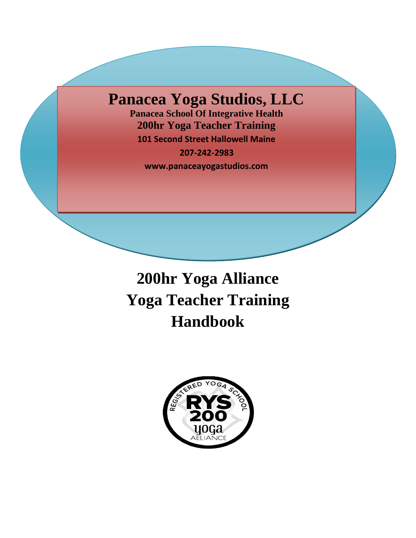## **Panacea Yoga Studios, LLC**

**Panacea School Of Integrative Health 200hr Yoga Teacher Training 101 Second Street Hallowell Maine**

 **207-242-2983**

 **www.panaceayogastudios.com**

# **200hr Yoga Alliance Yoga Teacher Training Handbook**

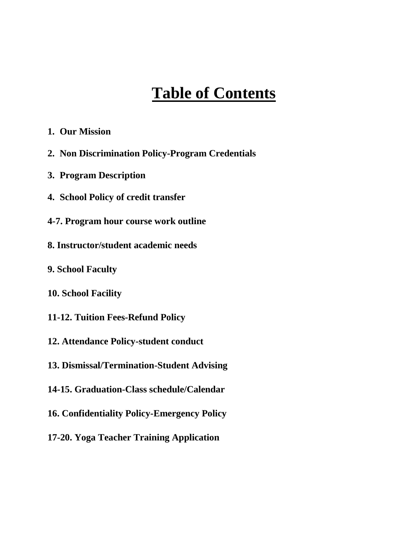## **Table of Contents**

- **1. Our Mission**
- **2. Non Discrimination Policy-Program Credentials**
- **3. Program Description**
- **4. School Policy of credit transfer**
- **4-7. Program hour course work outline**
- **8. Instructor/student academic needs**
- **9. School Faculty**
- **10. School Facility**
- **11-12. Tuition Fees-Refund Policy**
- **12. Attendance Policy-student conduct**
- **13. Dismissal/Termination-Student Advising**
- **14-15. Graduation-Class schedule/Calendar**
- **16. Confidentiality Policy-Emergency Policy**
- **17-20. Yoga Teacher Training Application**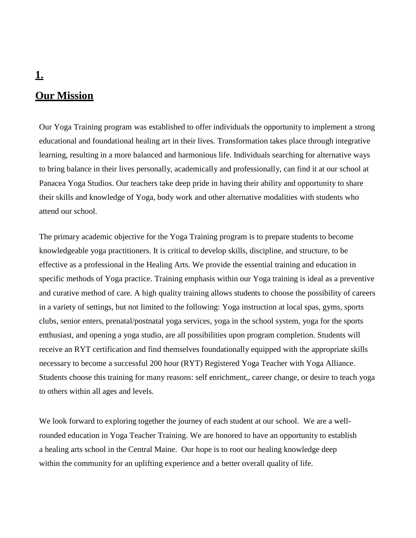# **Our Mission**

Our Yoga Training program was established to offer individuals the opportunity to implement a strong educational and foundational healing art in their lives. Transformation takes place through integrative learning, resulting in a more balanced and harmonious life. Individuals searching for alternative ways to bring balance in their lives personally, academically and professionally, can find it at our school at Panacea Yoga Studios. Our teachers take deep pride in having their ability and opportunity to share their skills and knowledge of Yoga, body work and other alternative modalities with students who attend our school.

The primary academic objective for the Yoga Training program is to prepare students to become knowledgeable yoga practitioners. It is critical to develop skills, discipline, and structure, to be effective as a professional in the Healing Arts. We provide the essential training and education in specific methods of Yoga practice. Training emphasis within our Yoga training is ideal as a preventive and curative method of care. A high quality training allows students to choose the possibility of careers in a variety of settings, but not limited to the following: Yoga instruction at local spas, gyms, sports clubs, senior enters, prenatal/postnatal yoga services, yoga in the school system, yoga for the sports enthusiast, and opening a yoga studio, are all possibilities upon program completion. Students will receive an RYT certification and find themselves foundationally equipped with the appropriate skills necessary to become a successful 200 hour (RYT) Registered Yoga Teacher with Yoga Alliance. Students choose this training for many reasons: self enrichment,, career change, or desire to teach yoga to others within all ages and levels.

We look forward to exploring together the journey of each student at our school. We are a wellrounded education in Yoga Teacher Training. We are honored to have an opportunity to establish a healing arts school in the Central Maine. Our hope is to root our healing knowledge deep within the community for an uplifting experience and a better overall quality of life.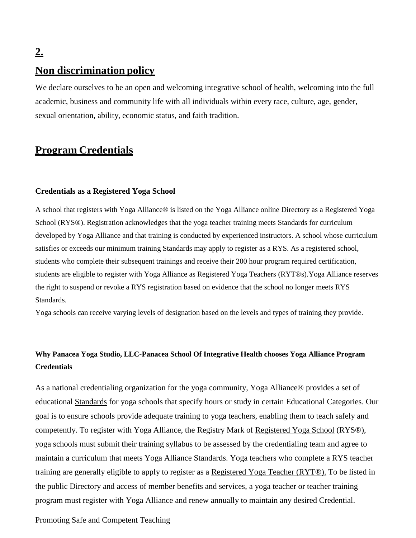## **Non discrimination policy**

We declare ourselves to be an open and welcoming integrative school of health, welcoming into the full academic, business and community life with all individuals within every race, culture, age, gender, sexual orientation, ability, economic status, and faith tradition.

### **Program Credentials**

#### **Credentials as a Registered Yoga School**

A school that registers with Yoga Alliance® is listed on the Yoga Alliance online Directory as a Registered Yoga School (RYS®). Registration acknowledges that the yoga teacher training meets [Standards](https://www.yogaalliance.org/Credentialing/Standards) for curriculum developed by Yoga Alliance and that training is conducted by experienced instructors. A school whose curriculum satisfies or exceeds our minimum training Standards may apply to register as a RYS. As a registered school, students who complete their subsequent trainings and receive their 200 hour program required certification, students are eligible to register with Yoga Alliance as Registered Yoga Teachers (RYT®s).Yoga Alliance reserves the right to suspend or revoke a RYS registration based on evidence that the school no longer meets RYS Standards.

Yoga schools can receive varying levels of designation based on the levels and types of training they provide.

#### **Why Panacea Yoga Studio, LLC-Panacea School Of Integrative Health chooses Yoga Alliance Program Credentials**

As a national credentialing organization for the yoga community, Yoga Alliance® provides a set of educational [Standards](https://www.yogaalliance.org/Credentialing/Standards) for yoga schools that specify hours or study in certain Educational Categories. Our goal is to ensure schools provide adequate training to yoga teachers, enabling them to teach safely and competently. To register with Yoga Alliance, the Registry Mark of [Registered](https://www.yogaalliance.org/Credentialing/CredentialsforSchools) Yoga School (RYS®), yoga schools must submit their training syllabus to be assessed by the credentialing team and agree to maintain a curriculum that meets Yoga Alliance Standards. Yoga teachers who complete a RYS teacher training are generally eligible to apply to register as a [Registered](https://www.yogaalliance.org/Credentialing/Credentials_for_Teachers) Yoga Teacher (RYT®). To be listed in the public [Directory](https://www.yogaalliance.org/yogaregistry) and access of [member](https://www.yogaalliance.org/Benefits) benefits and services, a yoga teacher or teacher training program must register with Yoga Alliance and renew annually to maintain any desired Credential.

#### Promoting Safe and Competent Teaching

## **2.**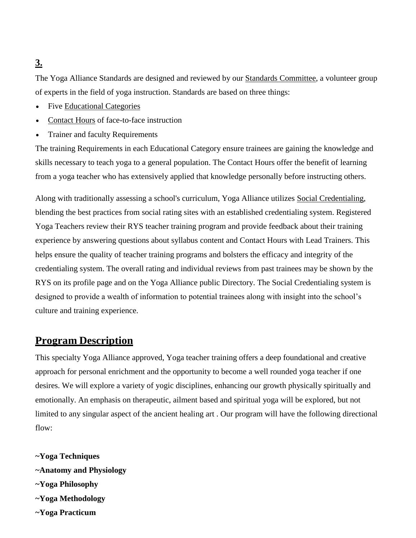The Yoga Alliance Standards are designed and reviewed by our Standards [Committee,](https://www.yogaalliance.org/About_YA/Our_People/OurCommittees) a volunteer group of experts in the field of yoga instruction. Standards are based on three things:

- Five [Educational](https://www.yogaalliance.org/Credentialing/GlossaryofTerms#Educational-Categories) Categories
- [Contact](https://www.yogaalliance.org/Credentialing/GlossaryofTerms#Contact-Hours) Hours of face-to-face instruction
- Trainer and faculty Requirements

The training Requirements in each Educational Category ensure trainees are gaining the knowledge and skills necessary to teach yoga to a general population. The Contact Hours offer the benefit of learning from a yoga teacher who has extensively applied that knowledge personally before instructing others.

Along with traditionally assessing a school's curriculum, Yoga Alliance utilizes Social [Credentialing,](https://www.yogaalliance.org/Credentialing/Social_Credentialing) blending the best practices from social rating sites with an established credentialing system. Registered Yoga Teachers review their RYS teacher training program and provide feedback about their training experience by answering questions about syllabus content and Contact Hours with Lead Trainers. This helps ensure the quality of teacher training programs and bolsters the efficacy and integrity of the credentialing system. The overall rating and individual reviews from past trainees may be shown by the RYS on its profile page and on the Yoga Alliance public Directory. The Social Credentialing system is designed to provide a wealth of information to potential trainees along with insight into the school's culture and training experience.

## **Program Description**

This specialty Yoga Alliance approved, Yoga teacher training offers a deep foundational and creative approach for personal enrichment and the opportunity to become a well rounded yoga teacher if one desires. We will explore a variety of yogic disciplines, enhancing our growth physically spiritually and emotionally. An emphasis on therapeutic, ailment based and spiritual yoga will be explored, but not limited to any singular aspect of the ancient healing art . Our program will have the following directional flow:

- **~Yoga Techniques ~Anatomy and Physiology ~Yoga Philosophy ~Yoga Methodology**
- **~Yoga Practicum**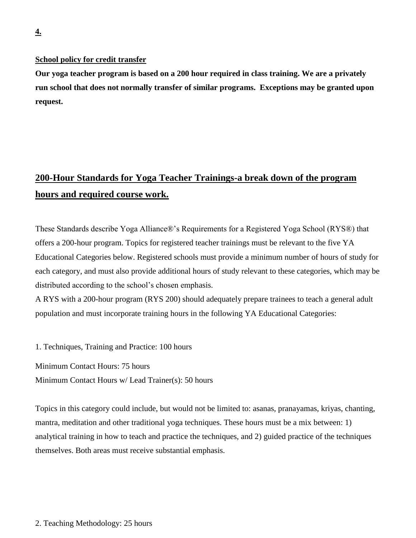#### **School policy for credit transfer**

**Our yoga teacher program is based on a 200 hour required in class training. We are a privately run school that does not normally transfer of similar programs. Exceptions may be granted upon request.** 

## **200-Hour Standards for Yoga Teacher Trainings-a break down of the program hours and required course work.**

These Standards describe Yoga Alliance®'s Requirements for a Registered Yoga School (RYS®) that offers a 200-hour program. Topics for registered teacher trainings must be relevant to the five YA Educational Categories below. Registered schools must provide a minimum number of hours of study for each category, and must also provide additional hours of study relevant to these categories, which may be distributed according to the school's chosen emphasis.

A RYS with a 200-hour program (RYS 200) should adequately prepare trainees to teach a general adult population and must incorporate training hours in the following YA Educational Categories:

1. Techniques, Training and Practice: 100 hours

Minimum Contact Hours: 75 hours

Minimum Contact Hours w/ Lead Trainer(s): 50 hours

Topics in this category could include, but would not be limited to: asanas, pranayamas, kriyas, chanting, mantra, meditation and other traditional yoga techniques. These hours must be a mix between: 1) analytical training in how to teach and practice the techniques, and 2) guided practice of the techniques themselves. Both areas must receive substantial emphasis.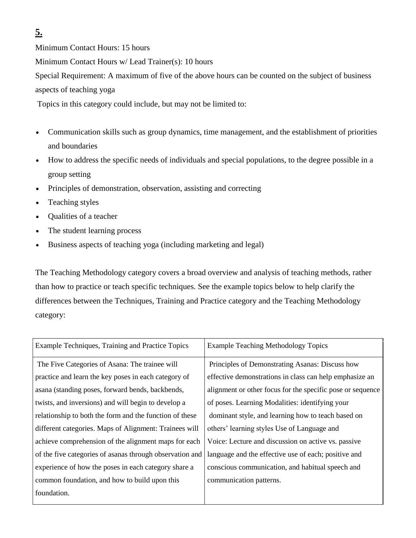Minimum Contact Hours: 15 hours

Minimum Contact Hours w/ Lead Trainer(s): 10 hours

Special Requirement: A maximum of five of the above hours can be counted on the subject of business aspects of teaching yoga

Topics in this category could include, but may not be limited to:

- Communication skills such as group dynamics, time management, and the establishment of priorities and boundaries
- How to address the specific needs of individuals and special populations, to the degree possible in a group setting
- Principles of demonstration, observation, assisting and correcting
- Teaching styles
- Qualities of a teacher
- The student learning process
- Business aspects of teaching yoga (including marketing and legal)

The Teaching Methodology category covers a broad overview and analysis of teaching methods, rather than how to practice or teach specific techniques. See the example topics below to help clarify the differences between the Techniques, Training and Practice category and the Teaching Methodology category:

| Example Techniques, Training and Practice Topics         | <b>Example Teaching Methodology Topics</b>                 |
|----------------------------------------------------------|------------------------------------------------------------|
| The Five Categories of Asana: The trainee will           | Principles of Demonstrating Asanas: Discuss how            |
| practice and learn the key poses in each category of     | effective demonstrations in class can help emphasize an    |
| asana (standing poses, forward bends, backbends,         | alignment or other focus for the specific pose or sequence |
| twists, and inversions) and will begin to develop a      | of poses. Learning Modalities: identifying your            |
| relationship to both the form and the function of these  | dominant style, and learning how to teach based on         |
| different categories. Maps of Alignment: Trainees will   | others' learning styles Use of Language and                |
| achieve comprehension of the alignment maps for each     | Voice: Lecture and discussion on active vs. passive        |
| of the five categories of asanas through observation and | language and the effective use of each; positive and       |
| experience of how the poses in each category share a     | conscious communication, and habitual speech and           |
| common foundation, and how to build upon this            | communication patterns.                                    |
| foundation.                                              |                                                            |
|                                                          |                                                            |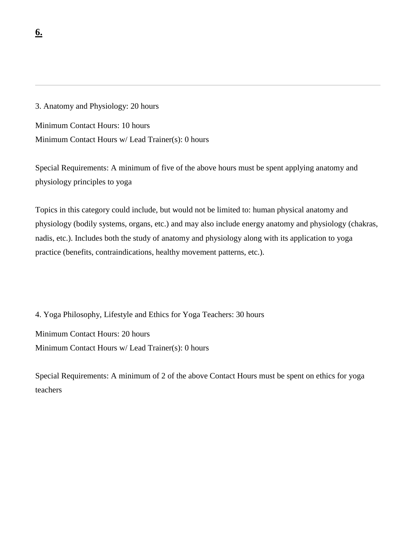3. Anatomy and Physiology: 20 hours

Minimum Contact Hours: 10 hours

Minimum Contact Hours w/ Lead Trainer(s): 0 hours

Special Requirements: A minimum of five of the above hours must be spent applying anatomy and physiology principles to yoga

Topics in this category could include, but would not be limited to: human physical anatomy and physiology (bodily systems, organs, etc.) and may also include energy anatomy and physiology (chakras, nadis, etc.). Includes both the study of anatomy and physiology along with its application to yoga practice (benefits, contraindications, healthy movement patterns, etc.).

4. Yoga Philosophy, Lifestyle and Ethics for Yoga Teachers: 30 hours Minimum Contact Hours: 20 hours Minimum Contact Hours w/ Lead Trainer(s): 0 hours

Special Requirements: A minimum of 2 of the above Contact Hours must be spent on ethics for yoga teachers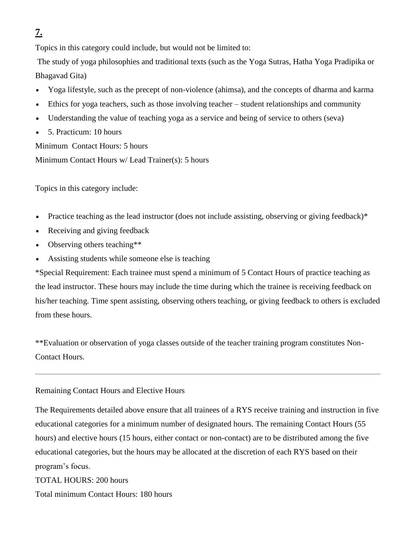Topics in this category could include, but would not be limited to:

The study of yoga philosophies and traditional texts (such as the Yoga Sutras, Hatha Yoga Pradipika or Bhagavad Gita)

- Yoga lifestyle, such as the precept of non-violence (ahimsa), and the concepts of dharma and karma
- Ethics for yoga teachers, such as those involving teacher student relationships and community
- Understanding the value of teaching yoga as a service and being of service to others (seva)
- 5. Practicum: 10 hours

Minimum Contact Hours: 5 hours

Minimum Contact Hours w/ Lead Trainer(s): 5 hours

Topics in this category include:

- Practice teaching as the lead instructor (does not include assisting, observing or giving feedback)\*
- Receiving and giving feedback
- Observing others teaching\*\*
- Assisting students while someone else is teaching

\*Special Requirement: Each trainee must spend a minimum of 5 Contact Hours of practice teaching as the lead instructor. These hours may include the time during which the trainee is receiving feedback on his/her teaching. Time spent assisting, observing others teaching, or giving feedback to others is excluded from these hours.

\*\*Evaluation or observation of yoga classes outside of the teacher training program constitutes Non-Contact Hours.

Remaining Contact Hours and Elective Hours

The Requirements detailed above ensure that all trainees of a RYS receive training and instruction in five educational categories for a minimum number of designated hours. The remaining Contact Hours (55 hours) and elective hours (15 hours, either contact or non-contact) are to be distributed among the five educational categories, but the hours may be allocated at the discretion of each RYS based on their program's focus.

TOTAL HOURS: 200 hours Total minimum Contact Hours: 180 hours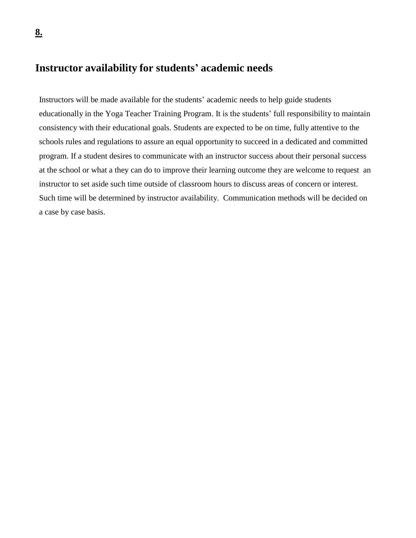## **Instructor availability for students' academic needs**

Instructors will be made available for the students' academic needs to help guide students educationally in the Yoga Teacher Training Program. It is the students' full responsibility to maintain consistency with their educational goals. Students are expected to be on time, fully attentive to the schools rules and regulations to assure an equal opportunity to succeed in a dedicated and committed program. If a student desires to communicate with an instructor success about their personal success at the school or what a they can do to improve their learning outcome they are welcome to request an instructor to set aside such time outside of classroom hours to discuss areas of concern or interest. Such time will be determined by instructor availability. Communication methods will be decided on a case by case basis.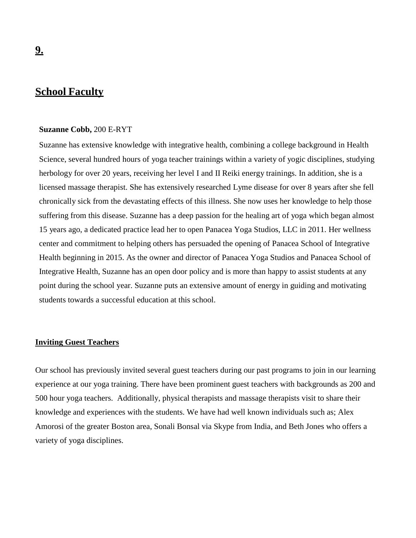## **School Faculty**

#### **Suzanne Cobb,** 200 E-RYT

Suzanne has extensive knowledge with integrative health, combining a college background in Health Science, several hundred hours of yoga teacher trainings within a variety of yogic disciplines, studying herbology for over 20 years, receiving her level I and II Reiki energy trainings. In addition, she is a licensed massage therapist. She has extensively researched Lyme disease for over 8 years after she fell chronically sick from the devastating effects of this illness. She now uses her knowledge to help those suffering from this disease. Suzanne has a deep passion for the healing art of yoga which began almost 15 years ago, a dedicated practice lead her to open Panacea Yoga Studios, LLC in 2011. Her wellness center and commitment to helping others has persuaded the opening of Panacea School of Integrative Health beginning in 2015. As the owner and director of Panacea Yoga Studios and Panacea School of Integrative Health, Suzanne has an open door policy and is more than happy to assist students at any point during the school year. Suzanne puts an extensive amount of energy in guiding and motivating students towards a successful education at this school.

#### **Inviting Guest Teachers**

Our school has previously invited several guest teachers during our past programs to join in our learning experience at our yoga training. There have been prominent guest teachers with backgrounds as 200 and 500 hour yoga teachers. Additionally, physical therapists and massage therapists visit to share their knowledge and experiences with the students. We have had well known individuals such as; Alex Amorosi of the greater Boston area, Sonali Bonsal via Skype from India, and Beth Jones who offers a variety of yoga disciplines.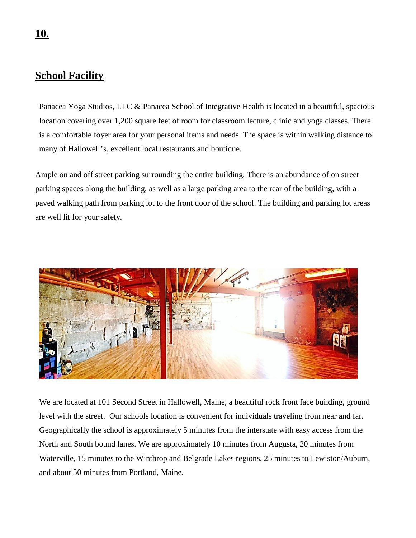## **School Facility**

Panacea Yoga Studios, LLC & Panacea School of Integrative Health is located in a beautiful, spacious location covering over 1,200 square feet of room for classroom lecture, clinic and yoga classes. There is a comfortable foyer area for your personal items and needs. The space is within walking distance to many of Hallowell's, excellent local restaurants and boutique.

Ample on and off street parking surrounding the entire building. There is an abundance of on street parking spaces along the building, as well as a large parking area to the rear of the building, with a paved walking path from parking lot to the front door of the school. The building and parking lot areas are well lit for your safety.



We are located at 101 Second Street in Hallowell, Maine, a beautiful rock front face building, ground level with the street. Our schools location is convenient for individuals traveling from near and far. Geographically the school is approximately 5 minutes from the interstate with easy access from the North and South bound lanes. We are approximately 10 minutes from Augusta, 20 minutes from Waterville, 15 minutes to the Winthrop and Belgrade Lakes regions, 25 minutes to Lewiston/Auburn, and about 50 minutes from Portland, Maine.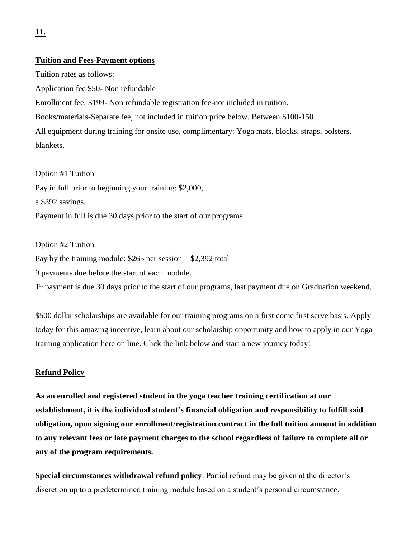#### **Tuition and Fees-Payment options**

Tuition rates as follows: Application fee \$50- Non refundable Enrollment fee: \$199- Non refundable registration fee-not included in tuition.

Books/materials-Separate fee, not included in tuition price below. Between \$100-150

All equipment during training for onsite use, complimentary: Yoga mats, blocks, straps, bolsters. blankets,

Option #1 Tuition Pay in full prior to beginning your training: \$2,000, a \$392 savings. Payment in full is due 30 days prior to the start of our programs

#### Option #2 Tuition

Pay by the training module: \$265 per session – \$2,392 total

9 payments due before the start of each module.

1<sup>st</sup> payment is due 30 days prior to the start of our programs, last payment due on Graduation weekend.

\$500 dollar scholarships are available for our training programs on a first come first serve basis. Apply today for this amazing incentive, learn about our scholarship opportunity and how to apply in our Yoga training application here on line. Click the link below and start a new journey today!

#### **Refund Policy**

**As an enrolled and registered student in the yoga teacher training certification at our establishment, it is the individual student's financial obligation and responsibility to fulfill said obligation, upon signing our enrollment/registration contract in the full tuition amount in addition to any relevant fees or late payment charges to the school regardless of failure to complete all or any of the program requirements.**

**Special circumstances withdrawal refund policy**: Partial refund may be given at the director's discretion up to a predetermined training module based on a student's personal circumstance.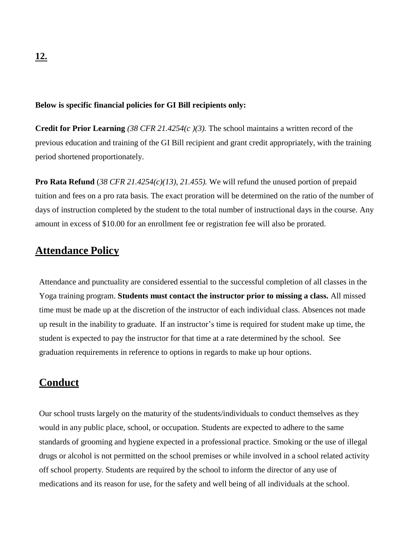#### **Below is specific financial policies for GI Bill recipients only:**

**Credit for Prior Learning** *(38 CFR 21.4254(c )(3).* The school maintains a written record of the previous education and training of the GI Bill recipient and grant credit appropriately, with the training period shortened proportionately.

**Pro Rata Refund** (*38 CFR 21.4254(c)(13), 21.455).* We will refund the unused portion of prepaid tuition and fees on a pro rata basis. The exact proration will be determined on the ratio of the number of days of instruction completed by the student to the total number of instructional days in the course. Any amount in excess of \$10.00 for an enrollment fee or registration fee will also be prorated.

## **Attendance Policy**

Attendance and punctuality are considered essential to the successful completion of all classes in the Yoga training program. **Students must contact the instructor prior to missing a class.** All missed time must be made up at the discretion of the instructor of each individual class. Absences not made up result in the inability to graduate. If an instructor's time is required for student make up time, the student is expected to pay the instructor for that time at a rate determined by the school. See graduation requirements in reference to options in regards to make up hour options.

### **Conduct**

Our school trusts largely on the maturity of the students/individuals to conduct themselves as they would in any public place, school, or occupation. Students are expected to adhere to the same standards of grooming and hygiene expected in a professional practice. Smoking or the use of illegal drugs or alcohol is not permitted on the school premises or while involved in a school related activity off school property. Students are required by the school to inform the director of any use of medications and its reason for use, for the safety and well being of all individuals at the school.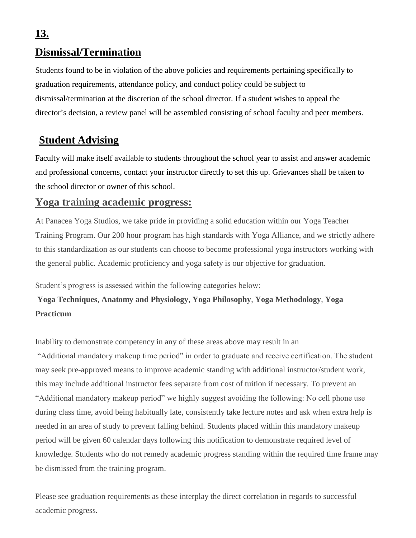## **Dismissal/Termination**

Students found to be in violation of the above policies and requirements pertaining specifically to graduation requirements, attendance policy, and conduct policy could be subject to dismissal/termination at the discretion of the school director. If a student wishes to appeal the director's decision, a review panel will be assembled consisting of school faculty and peer members.

## **Student Advising**

Faculty will make itself available to students throughout the school year to assist and answer academic and professional concerns, contact your instructor directly to set this up. Grievances shall be taken to the school director or owner of this school.

## **Yoga training academic progress:**

At Panacea Yoga Studios, we take pride in providing a solid education within our Yoga Teacher Training Program. Our 200 hour program has high standards with Yoga Alliance, and we strictly adhere to this standardization as our students can choose to become professional yoga instructors working with the general public. Academic proficiency and yoga safety is our objective for graduation.

Student's progress is assessed within the following categories below:

## **Yoga Techniques**, **Anatomy and Physiology**, **Yoga Philosophy**, **Yoga Methodology**, **Yoga Practicum**

Inability to demonstrate competency in any of these areas above may result in an

"Additional mandatory makeup time period" in order to graduate and receive certification. The student may seek pre-approved means to improve academic standing with additional instructor/student work, this may include additional instructor fees separate from cost of tuition if necessary. To prevent an "Additional mandatory makeup period" we highly suggest avoiding the following: No cell phone use during class time, avoid being habitually late, consistently take lecture notes and ask when extra help is needed in an area of study to prevent falling behind. Students placed within this mandatory makeup period will be given 60 calendar days following this notification to demonstrate required level of knowledge. Students who do not remedy academic progress standing within the required time frame may be dismissed from the training program.

Please see graduation requirements as these interplay the direct correlation in regards to successful academic progress.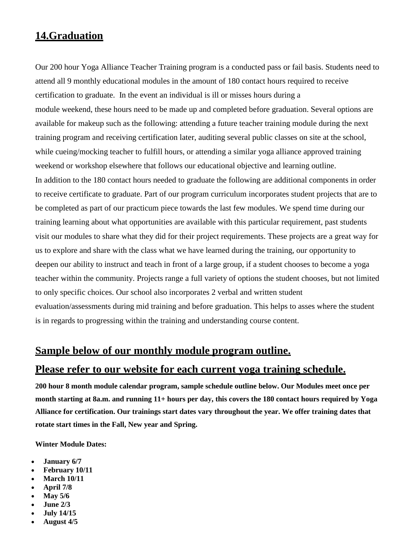## **14.Graduation**

Our 200 hour Yoga Alliance Teacher Training program is a conducted pass or fail basis. Students need to attend all 9 monthly educational modules in the amount of 180 contact hours required to receive certification to graduate. In the event an individual is ill or misses hours during a module weekend, these hours need to be made up and completed before graduation. Several options are available for makeup such as the following: attending a future teacher training module during the next training program and receiving certification later, auditing several public classes on site at the school, while cueing/mocking teacher to fulfill hours, or attending a similar yoga alliance approved training weekend or workshop elsewhere that follows our educational objective and learning outline. In addition to the 180 contact hours needed to graduate the following are additional components in order to receive certificate to graduate. Part of our program curriculum incorporates student projects that are to be completed as part of our practicum piece towards the last few modules. We spend time during our training learning about what opportunities are available with this particular requirement, past students visit our modules to share what they did for their project requirements. These projects are a great way for us to explore and share with the class what we have learned during the training, our opportunity to deepen our ability to instruct and teach in front of a large group, if a student chooses to become a yoga teacher within the community. Projects range a full variety of options the student chooses, but not limited to only specific choices. Our school also incorporates 2 verbal and written student evaluation/assessments during mid training and before graduation. This helps to asses where the student is in regards to progressing within the training and understanding course content.

### **Sample below of our monthly module program outline.**

#### **Please refer to our website for each current yoga training schedule.**

**200 hour 8 month module calendar program, sample schedule outline below. Our Modules meet once per month starting at 8a.m. and running 11+ hours per day, this covers the 180 contact hours required by Yoga Alliance for certification. Our trainings start dates vary throughout the year. We offer training dates that rotate start times in the Fall, New year and Spring.** 

**Winter Module Dates:**

- **January 6/7**
- **February 10/11**
- **March 10/11**
- **April 7/8**
- **May 5/6**
- **June 2/3**
- **July 14/15**
- **August 4/5**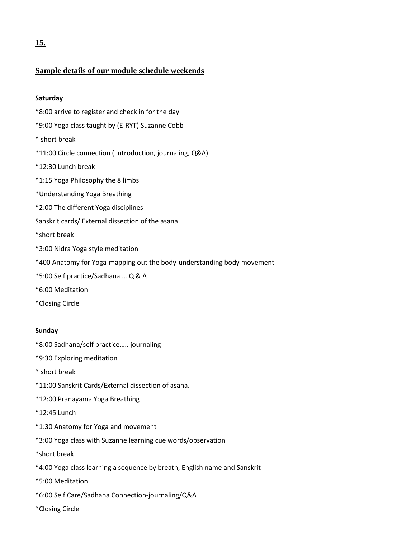#### **Sample details of our module schedule weekends**

#### **Saturday**

- \*8:00 arrive to register and check in for the day
- \*9:00 Yoga class taught by (E-RYT) Suzanne Cobb
- \* short break
- \*11:00 Circle connection ( introduction, journaling, Q&A)
- \*12:30 Lunch break
- \*1:15 Yoga Philosophy the 8 limbs
- \*Understanding Yoga Breathing
- \*2:00 The different Yoga disciplines
- Sanskrit cards/ External dissection of the asana
- \*short break
- \*3:00 Nidra Yoga style meditation
- \*400 Anatomy for Yoga-mapping out the body-understanding body movement
- \*5:00 Self practice/Sadhana ….Q & A
- \*6:00 Meditation
- \*Closing Circle

#### **Sunday**

- \*8:00 Sadhana/self practice….. journaling
- \*9:30 Exploring meditation
- \* short break
- \*11:00 Sanskrit Cards/External dissection of asana.
- \*12:00 Pranayama Yoga Breathing
- \*12:45 Lunch
- \*1:30 Anatomy for Yoga and movement
- \*3:00 Yoga class with Suzanne learning cue words/observation
- \*short break
- \*4:00 Yoga class learning a sequence by breath, English name and Sanskrit
- \*5:00 Meditation
- \*6:00 Self Care/Sadhana Connection-journaling/Q&A
- \*Closing Circle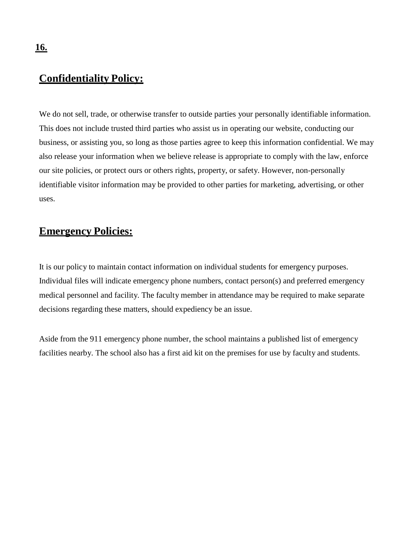### **Confidentiality Policy:**

We do not sell, trade, or otherwise transfer to outside parties your personally identifiable information. This does not include trusted third parties who assist us in operating our website, conducting our business, or assisting you, so long as those parties agree to keep this information confidential. We may also release your information when we believe release is appropriate to comply with the law, enforce our site policies, or protect ours or others rights, property, or safety. However, non-personally identifiable visitor information may be provided to other parties for marketing, advertising, or other uses.

## **Emergency Policies:**

It is our policy to maintain contact information on individual students for emergency purposes. Individual files will indicate emergency phone numbers, contact person(s) and preferred emergency medical personnel and facility. The faculty member in attendance may be required to make separate decisions regarding these matters, should expediency be an issue.

Aside from the 911 emergency phone number, the school maintains a published list of emergency facilities nearby. The school also has a first aid kit on the premises for use by faculty and students.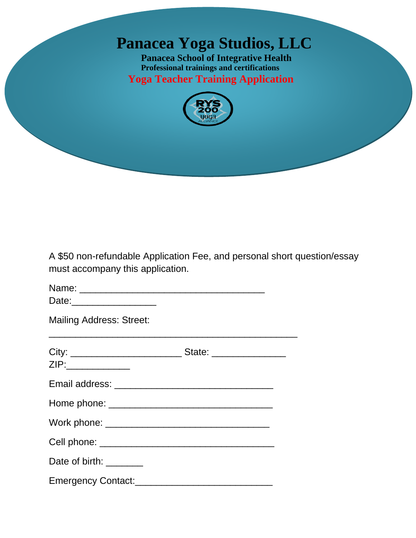## **Panacea Yoga Studios, LLC**

**Panacea School of Integrative Health Professional trainings and certifications Yoga Teacher Training Application**



A \$50 non-refundable Application Fee, and personal short question/essay must accompany this application.

Name: \_\_\_\_\_\_\_\_\_\_\_\_\_\_\_\_\_\_\_\_\_\_\_\_\_\_\_\_\_\_\_\_\_\_\_

Date:\_\_\_\_\_\_\_\_\_\_\_\_\_\_\_\_

Mailing Address: Street:

| ZIP:______________      | State: ________________ |
|-------------------------|-------------------------|
|                         |                         |
|                         |                         |
|                         |                         |
|                         |                         |
| Date of birth: ________ |                         |
|                         |                         |

\_\_\_\_\_\_\_\_\_\_\_\_\_\_\_\_\_\_\_\_\_\_\_\_\_\_\_\_\_\_\_\_\_\_\_\_\_\_\_\_\_\_\_\_\_\_\_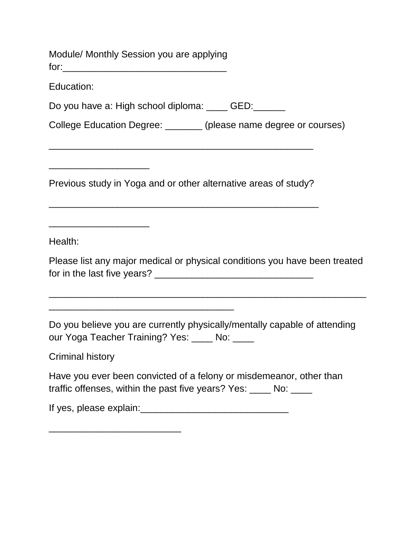Module/ Monthly Session you are applying for:\_\_\_\_\_\_\_\_\_\_\_\_\_\_\_\_\_\_\_\_\_\_\_\_\_\_\_\_\_\_\_ Education: Do you have a: High school diploma: \_\_\_\_ GED: \_\_\_\_\_ College Education Degree: \_\_\_\_\_\_\_ (please name degree or courses) \_\_\_\_\_\_\_\_\_\_\_\_\_\_\_\_\_\_\_\_\_\_\_\_\_\_\_\_\_\_\_\_\_\_\_\_\_\_\_\_\_\_\_\_\_\_\_\_\_\_ \_\_\_\_\_\_\_\_\_\_\_\_\_\_\_\_\_\_\_

Previous study in Yoga and or other alternative areas of study?

\_\_\_\_\_\_\_\_\_\_\_\_\_\_\_\_\_\_\_\_\_\_\_\_\_\_\_\_\_\_\_\_\_\_\_\_\_\_\_\_\_\_\_\_\_\_\_\_\_\_\_

Health:

\_\_\_\_\_\_\_\_\_\_\_\_\_\_\_\_\_\_\_

Please list any major medical or physical conditions you have been treated for in the last five years? \_\_\_\_\_\_\_\_\_\_\_\_\_\_\_\_\_\_\_\_\_\_\_\_\_\_\_\_\_\_

\_\_\_\_\_\_\_\_\_\_\_\_\_\_\_\_\_\_\_\_\_\_\_\_\_\_\_\_\_\_\_\_\_\_\_\_\_\_\_\_\_\_\_\_\_\_\_\_\_\_\_\_\_\_\_\_\_\_\_\_

Do you believe you are currently physically/mentally capable of attending our Yoga Teacher Training? Yes: No:

Criminal history

Have you ever been convicted of a felony or misdemeanor, other than traffic offenses, within the past five years? Yes: \_\_\_\_ No: \_\_\_\_

If yes, please explain:\_\_\_\_\_\_\_\_\_\_\_\_\_\_\_\_\_\_\_\_\_\_\_\_\_\_\_\_

\_\_\_\_\_\_\_\_\_\_\_\_\_\_\_\_\_\_\_\_\_\_\_\_\_\_\_\_\_\_\_\_\_\_\_

\_\_\_\_\_\_\_\_\_\_\_\_\_\_\_\_\_\_\_\_\_\_\_\_\_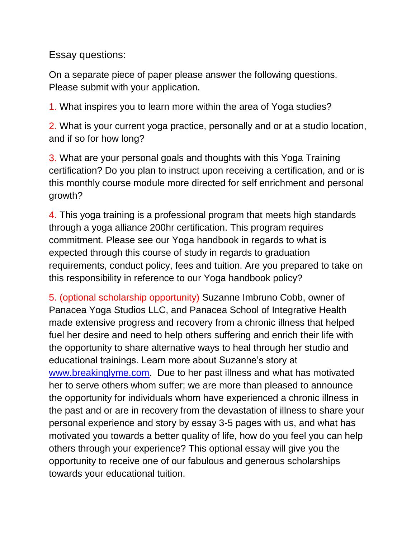Essay questions:

On a separate piece of paper please answer the following questions. Please submit with your application.

1. What inspires you to learn more within the area of Yoga studies?

2. What is your current yoga practice, personally and or at a studio location, and if so for how long?

3. What are your personal goals and thoughts with this Yoga Training certification? Do you plan to instruct upon receiving a certification, and or is this monthly course module more directed for self enrichment and personal growth?

4. This yoga training is a professional program that meets high standards through a yoga alliance 200hr certification. This program requires commitment. Please see our Yoga handbook in regards to what is expected through this course of study in regards to graduation requirements, conduct policy, fees and tuition. Are you prepared to take on this responsibility in reference to our Yoga handbook policy?

5. (optional scholarship opportunity) Suzanne Imbruno Cobb, owner of Panacea Yoga Studios LLC, and Panacea School of Integrative Health made extensive progress and recovery from a chronic illness that helped fuel her desire and need to help others suffering and enrich their life with the opportunity to share alternative ways to heal through her studio and educational trainings. Learn more about Suzanne's story at [www.breakinglyme.com.](http://www.breakinglyme.com/) Due to her past illness and what has motivated her to serve others whom suffer; we are more than pleased to announce the opportunity for individuals whom have experienced a chronic illness in the past and or are in recovery from the devastation of illness to share your personal experience and story by essay 3-5 pages with us, and what has motivated you towards a better quality of life, how do you feel you can help others through your experience? This optional essay will give you the opportunity to receive one of our fabulous and generous scholarships towards your educational tuition.